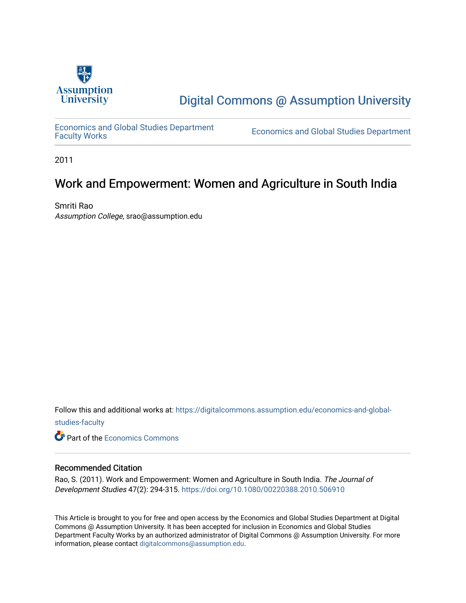

# [Digital Commons @ Assumption University](https://digitalcommons.assumption.edu/)

[Economics and Global Studies Department](https://digitalcommons.assumption.edu/economics-and-global-studies-faculty)

Economics and Global Studies Department

2011

# Work and Empowerment: Women and Agriculture in South India

Smriti Rao Assumption College, srao@assumption.edu

Follow this and additional works at: [https://digitalcommons.assumption.edu/economics-and-global](https://digitalcommons.assumption.edu/economics-and-global-studies-faculty?utm_source=digitalcommons.assumption.edu%2Feconomics-and-global-studies-faculty%2F5&utm_medium=PDF&utm_campaign=PDFCoverPages)[studies-faculty](https://digitalcommons.assumption.edu/economics-and-global-studies-faculty?utm_source=digitalcommons.assumption.edu%2Feconomics-and-global-studies-faculty%2F5&utm_medium=PDF&utm_campaign=PDFCoverPages)

**C** Part of the [Economics Commons](http://network.bepress.com/hgg/discipline/340?utm_source=digitalcommons.assumption.edu%2Feconomics-and-global-studies-faculty%2F5&utm_medium=PDF&utm_campaign=PDFCoverPages)

# Recommended Citation

Rao, S. (2011). Work and Empowerment: Women and Agriculture in South India. The Journal of Development Studies 47(2): 294-315. <https://doi.org/10.1080/00220388.2010.506910>

This Article is brought to you for free and open access by the Economics and Global Studies Department at Digital Commons @ Assumption University. It has been accepted for inclusion in Economics and Global Studies Department Faculty Works by an authorized administrator of Digital Commons @ Assumption University. For more information, please contact [digitalcommons@assumption.edu.](mailto:digitalcommons@assumption.edu)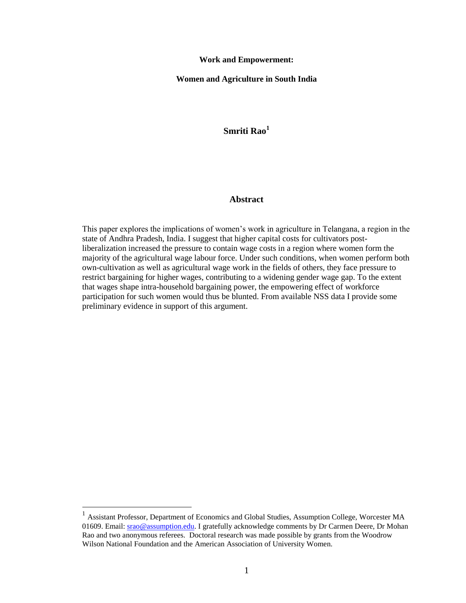**Work and Empowerment:**

#### **Women and Agriculture in South India**

**Smriti Rao<sup>1</sup>**

#### **Abstract**

This paper explores the implications of women's work in agriculture in Telangana, a region in the state of Andhra Pradesh, India. I suggest that higher capital costs for cultivators postliberalization increased the pressure to contain wage costs in a region where women form the majority of the agricultural wage labour force. Under such conditions, when women perform both own-cultivation as well as agricultural wage work in the fields of others, they face pressure to restrict bargaining for higher wages, contributing to a widening gender wage gap. To the extent that wages shape intra-household bargaining power, the empowering effect of workforce participation for such women would thus be blunted. From available NSS data I provide some preliminary evidence in support of this argument.

 1 Assistant Professor, Department of Economics and Global Studies, Assumption College, Worcester MA 01609. Email: [srao@assumption.edu.](mailto:srao@bates.edu) I gratefully acknowledge comments by Dr Carmen Deere, Dr Mohan Rao and two anonymous referees. Doctoral research was made possible by grants from the Woodrow Wilson National Foundation and the American Association of University Women.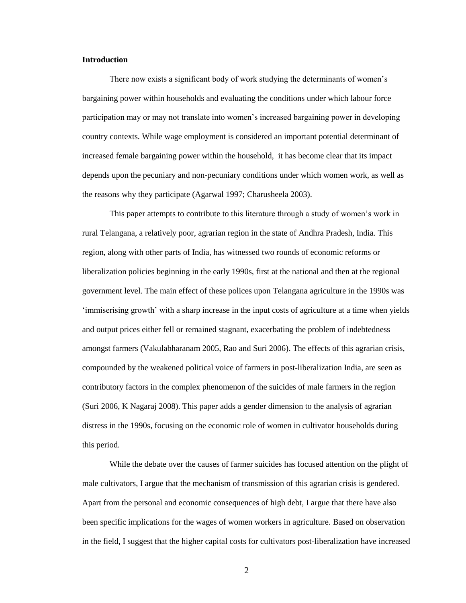#### **Introduction**

There now exists a significant body of work studying the determinants of women's bargaining power within households and evaluating the conditions under which labour force participation may or may not translate into women's increased bargaining power in developing country contexts. While wage employment is considered an important potential determinant of increased female bargaining power within the household, it has become clear that its impact depends upon the pecuniary and non-pecuniary conditions under which women work, as well as the reasons why they participate (Agarwal 1997; Charusheela 2003).

This paper attempts to contribute to this literature through a study of women's work in rural Telangana, a relatively poor, agrarian region in the state of Andhra Pradesh, India. This region, along with other parts of India, has witnessed two rounds of economic reforms or liberalization policies beginning in the early 1990s, first at the national and then at the regional government level. The main effect of these polices upon Telangana agriculture in the 1990s was 'immiserising growth' with a sharp increase in the input costs of agriculture at a time when yields and output prices either fell or remained stagnant, exacerbating the problem of indebtedness amongst farmers (Vakulabharanam 2005, Rao and Suri 2006). The effects of this agrarian crisis, compounded by the weakened political voice of farmers in post-liberalization India, are seen as contributory factors in the complex phenomenon of the suicides of male farmers in the region (Suri 2006, K Nagaraj 2008). This paper adds a gender dimension to the analysis of agrarian distress in the 1990s, focusing on the economic role of women in cultivator households during this period.

While the debate over the causes of farmer suicides has focused attention on the plight of male cultivators, I argue that the mechanism of transmission of this agrarian crisis is gendered. Apart from the personal and economic consequences of high debt, I argue that there have also been specific implications for the wages of women workers in agriculture. Based on observation in the field, I suggest that the higher capital costs for cultivators post-liberalization have increased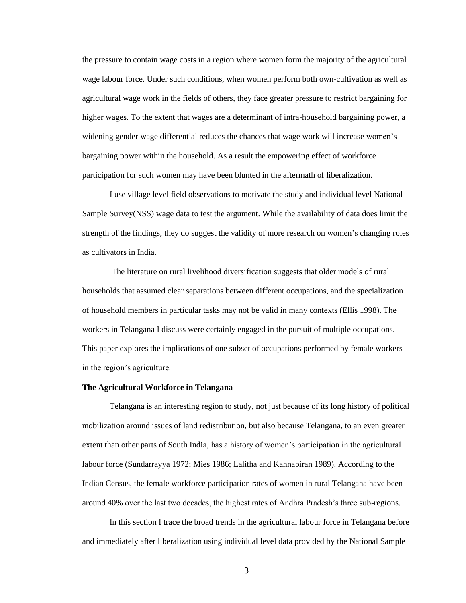the pressure to contain wage costs in a region where women form the majority of the agricultural wage labour force. Under such conditions, when women perform both own-cultivation as well as agricultural wage work in the fields of others, they face greater pressure to restrict bargaining for higher wages. To the extent that wages are a determinant of intra-household bargaining power, a widening gender wage differential reduces the chances that wage work will increase women's bargaining power within the household. As a result the empowering effect of workforce participation for such women may have been blunted in the aftermath of liberalization.

I use village level field observations to motivate the study and individual level National Sample Survey(NSS) wage data to test the argument. While the availability of data does limit the strength of the findings, they do suggest the validity of more research on women's changing roles as cultivators in India.

The literature on rural livelihood diversification suggests that older models of rural households that assumed clear separations between different occupations, and the specialization of household members in particular tasks may not be valid in many contexts (Ellis 1998). The workers in Telangana I discuss were certainly engaged in the pursuit of multiple occupations. This paper explores the implications of one subset of occupations performed by female workers in the region's agriculture.

#### **The Agricultural Workforce in Telangana**

Telangana is an interesting region to study, not just because of its long history of political mobilization around issues of land redistribution, but also because Telangana, to an even greater extent than other parts of South India, has a history of women's participation in the agricultural labour force (Sundarrayya 1972; Mies 1986; Lalitha and Kannabiran 1989). According to the Indian Census, the female workforce participation rates of women in rural Telangana have been around 40% over the last two decades, the highest rates of Andhra Pradesh's three sub-regions.

In this section I trace the broad trends in the agricultural labour force in Telangana before and immediately after liberalization using individual level data provided by the National Sample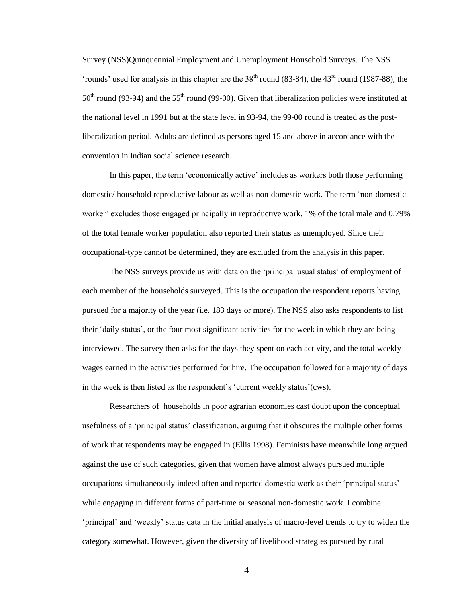Survey (NSS)Quinquennial Employment and Unemployment Household Surveys. The NSS 'rounds' used for analysis in this chapter are the  $38<sup>th</sup>$  round (83-84), the 43<sup>rd</sup> round (1987-88), the  $50<sup>th</sup>$  round (93-94) and the  $55<sup>th</sup>$  round (99-00). Given that liberalization policies were instituted at the national level in 1991 but at the state level in 93-94, the 99-00 round is treated as the postliberalization period. Adults are defined as persons aged 15 and above in accordance with the convention in Indian social science research.

In this paper, the term 'economically active' includes as workers both those performing domestic/ household reproductive labour as well as non-domestic work. The term 'non-domestic worker' excludes those engaged principally in reproductive work. 1% of the total male and 0.79% of the total female worker population also reported their status as unemployed. Since their occupational-type cannot be determined, they are excluded from the analysis in this paper.

The NSS surveys provide us with data on the 'principal usual status' of employment of each member of the households surveyed. This is the occupation the respondent reports having pursued for a majority of the year (i.e. 183 days or more). The NSS also asks respondents to list their 'daily status', or the four most significant activities for the week in which they are being interviewed. The survey then asks for the days they spent on each activity, and the total weekly wages earned in the activities performed for hire. The occupation followed for a majority of days in the week is then listed as the respondent's 'current weekly status'(cws).

Researchers of households in poor agrarian economies cast doubt upon the conceptual usefulness of a 'principal status' classification, arguing that it obscures the multiple other forms of work that respondents may be engaged in (Ellis 1998). Feminists have meanwhile long argued against the use of such categories, given that women have almost always pursued multiple occupations simultaneously indeed often and reported domestic work as their 'principal status' while engaging in different forms of part-time or seasonal non-domestic work. I combine 'principal' and 'weekly' status data in the initial analysis of macro-level trends to try to widen the category somewhat. However, given the diversity of livelihood strategies pursued by rural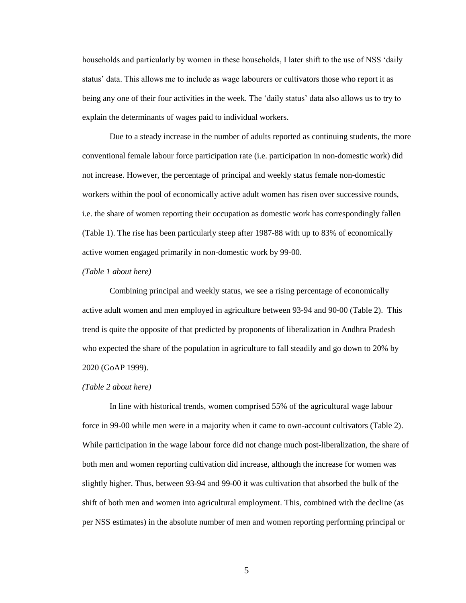households and particularly by women in these households, I later shift to the use of NSS 'daily status' data. This allows me to include as wage labourers or cultivators those who report it as being any one of their four activities in the week. The 'daily status' data also allows us to try to explain the determinants of wages paid to individual workers.

Due to a steady increase in the number of adults reported as continuing students, the more conventional female labour force participation rate (i.e. participation in non-domestic work) did not increase. However, the percentage of principal and weekly status female non-domestic workers within the pool of economically active adult women has risen over successive rounds, i.e. the share of women reporting their occupation as domestic work has correspondingly fallen (Table 1). The rise has been particularly steep after 1987-88 with up to 83% of economically active women engaged primarily in non-domestic work by 99-00.

#### *(Table 1 about here)*

Combining principal and weekly status, we see a rising percentage of economically active adult women and men employed in agriculture between 93-94 and 90-00 (Table 2). This trend is quite the opposite of that predicted by proponents of liberalization in Andhra Pradesh who expected the share of the population in agriculture to fall steadily and go down to 20% by 2020 (GoAP 1999).

#### *(Table 2 about here)*

In line with historical trends, women comprised 55% of the agricultural wage labour force in 99-00 while men were in a majority when it came to own-account cultivators (Table 2). While participation in the wage labour force did not change much post-liberalization, the share of both men and women reporting cultivation did increase, although the increase for women was slightly higher. Thus, between 93-94 and 99-00 it was cultivation that absorbed the bulk of the shift of both men and women into agricultural employment. This, combined with the decline (as per NSS estimates) in the absolute number of men and women reporting performing principal or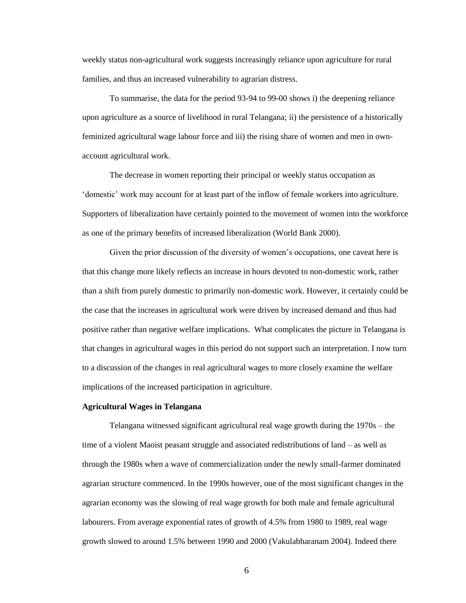weekly status non-agricultural work suggests increasingly reliance upon agriculture for rural families, and thus an increased vulnerability to agrarian distress.

To summarise, the data for the period 93-94 to 99-00 shows i) the deepening reliance upon agriculture as a source of livelihood in rural Telangana; ii) the persistence of a historically feminized agricultural wage labour force and iii) the rising share of women and men in ownaccount agricultural work.

The decrease in women reporting their principal or weekly status occupation as 'domestic' work may account for at least part of the inflow of female workers into agriculture. Supporters of liberalization have certainly pointed to the movement of women into the workforce as one of the primary benefits of increased liberalization (World Bank 2000).

Given the prior discussion of the diversity of women's occupations, one caveat here is that this change more likely reflects an increase in hours devoted to non-domestic work, rather than a shift from purely domestic to primarily non-domestic work. However, it certainly could be the case that the increases in agricultural work were driven by increased demand and thus had positive rather than negative welfare implications. What complicates the picture in Telangana is that changes in agricultural wages in this period do not support such an interpretation. I now turn to a discussion of the changes in real agricultural wages to more closely examine the welfare implications of the increased participation in agriculture.

## **Agricultural Wages in Telangana**

Telangana witnessed significant agricultural real wage growth during the 1970s – the time of a violent Maoist peasant struggle and associated redistributions of land – as well as through the 1980s when a wave of commercialization under the newly small-farmer dominated agrarian structure commenced. In the 1990s however, one of the most significant changes in the agrarian economy was the slowing of real wage growth for both male and female agricultural labourers. From average exponential rates of growth of 4.5% from 1980 to 1989, real wage growth slowed to around 1.5% between 1990 and 2000 (Vakulabharanam 2004). Indeed there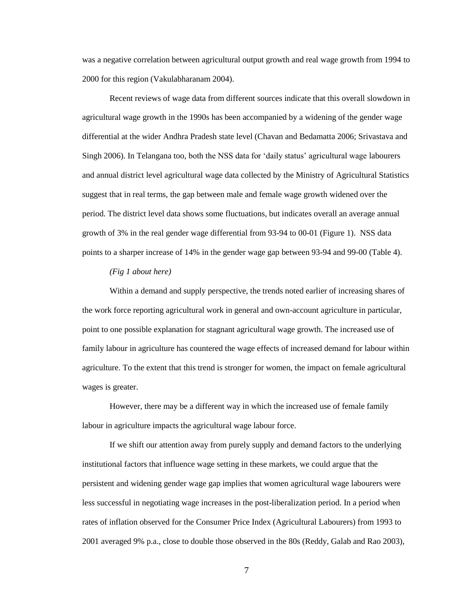was a negative correlation between agricultural output growth and real wage growth from 1994 to 2000 for this region (Vakulabharanam 2004).

Recent reviews of wage data from different sources indicate that this overall slowdown in agricultural wage growth in the 1990s has been accompanied by a widening of the gender wage differential at the wider Andhra Pradesh state level (Chavan and Bedamatta 2006; Srivastava and Singh 2006). In Telangana too, both the NSS data for 'daily status' agricultural wage labourers and annual district level agricultural wage data collected by the Ministry of Agricultural Statistics suggest that in real terms, the gap between male and female wage growth widened over the period. The district level data shows some fluctuations, but indicates overall an average annual growth of 3% in the real gender wage differential from 93-94 to 00-01 (Figure 1). NSS data points to a sharper increase of 14% in the gender wage gap between 93-94 and 99-00 (Table 4).

#### *(Fig 1 about here)*

Within a demand and supply perspective, the trends noted earlier of increasing shares of the work force reporting agricultural work in general and own-account agriculture in particular, point to one possible explanation for stagnant agricultural wage growth. The increased use of family labour in agriculture has countered the wage effects of increased demand for labour within agriculture. To the extent that this trend is stronger for women, the impact on female agricultural wages is greater.

However, there may be a different way in which the increased use of female family labour in agriculture impacts the agricultural wage labour force.

If we shift our attention away from purely supply and demand factors to the underlying institutional factors that influence wage setting in these markets, we could argue that the persistent and widening gender wage gap implies that women agricultural wage labourers were less successful in negotiating wage increases in the post-liberalization period. In a period when rates of inflation observed for the Consumer Price Index (Agricultural Labourers) from 1993 to 2001 averaged 9% p.a., close to double those observed in the 80s (Reddy, Galab and Rao 2003),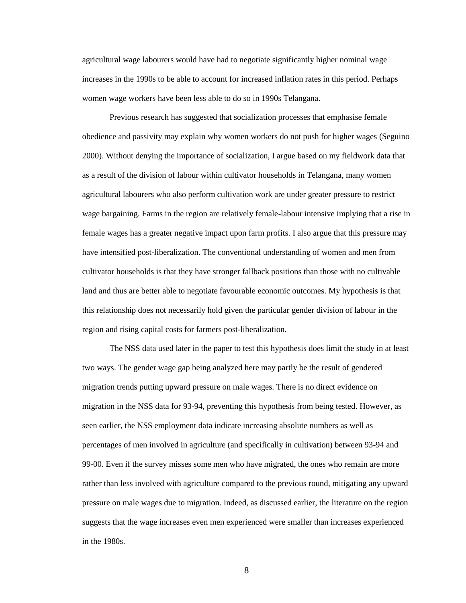agricultural wage labourers would have had to negotiate significantly higher nominal wage increases in the 1990s to be able to account for increased inflation rates in this period. Perhaps women wage workers have been less able to do so in 1990s Telangana.

Previous research has suggested that socialization processes that emphasise female obedience and passivity may explain why women workers do not push for higher wages (Seguino 2000). Without denying the importance of socialization, I argue based on my fieldwork data that as a result of the division of labour within cultivator households in Telangana, many women agricultural labourers who also perform cultivation work are under greater pressure to restrict wage bargaining. Farms in the region are relatively female-labour intensive implying that a rise in female wages has a greater negative impact upon farm profits. I also argue that this pressure may have intensified post-liberalization. The conventional understanding of women and men from cultivator households is that they have stronger fallback positions than those with no cultivable land and thus are better able to negotiate favourable economic outcomes. My hypothesis is that this relationship does not necessarily hold given the particular gender division of labour in the region and rising capital costs for farmers post-liberalization.

The NSS data used later in the paper to test this hypothesis does limit the study in at least two ways. The gender wage gap being analyzed here may partly be the result of gendered migration trends putting upward pressure on male wages. There is no direct evidence on migration in the NSS data for 93-94, preventing this hypothesis from being tested. However, as seen earlier, the NSS employment data indicate increasing absolute numbers as well as percentages of men involved in agriculture (and specifically in cultivation) between 93-94 and 99-00. Even if the survey misses some men who have migrated, the ones who remain are more rather than less involved with agriculture compared to the previous round, mitigating any upward pressure on male wages due to migration. Indeed, as discussed earlier, the literature on the region suggests that the wage increases even men experienced were smaller than increases experienced in the 1980s.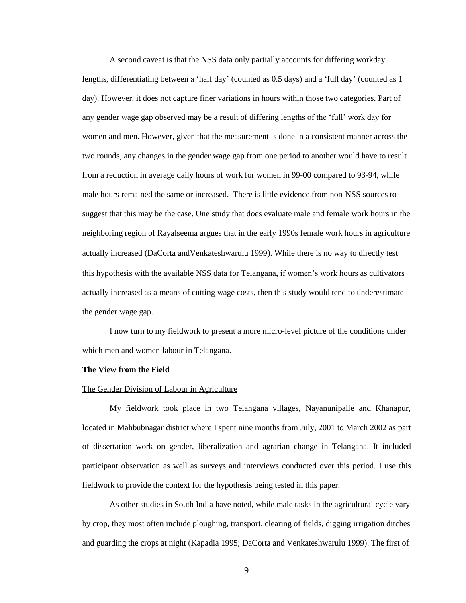A second caveat is that the NSS data only partially accounts for differing workday lengths, differentiating between a 'half day' (counted as 0.5 days) and a 'full day' (counted as 1 day). However, it does not capture finer variations in hours within those two categories. Part of any gender wage gap observed may be a result of differing lengths of the 'full' work day for women and men. However, given that the measurement is done in a consistent manner across the two rounds, any changes in the gender wage gap from one period to another would have to result from a reduction in average daily hours of work for women in 99-00 compared to 93-94, while male hours remained the same or increased. There is little evidence from non-NSS sources to suggest that this may be the case. One study that does evaluate male and female work hours in the neighboring region of Rayalseema argues that in the early 1990s female work hours in agriculture actually increased (DaCorta andVenkateshwarulu 1999). While there is no way to directly test this hypothesis with the available NSS data for Telangana, if women's work hours as cultivators actually increased as a means of cutting wage costs, then this study would tend to underestimate the gender wage gap.

I now turn to my fieldwork to present a more micro-level picture of the conditions under which men and women labour in Telangana.

#### **The View from the Field**

#### The Gender Division of Labour in Agriculture

My fieldwork took place in two Telangana villages, Nayanunipalle and Khanapur, located in Mahbubnagar district where I spent nine months from July, 2001 to March 2002 as part of dissertation work on gender, liberalization and agrarian change in Telangana. It included participant observation as well as surveys and interviews conducted over this period. I use this fieldwork to provide the context for the hypothesis being tested in this paper.

As other studies in South India have noted, while male tasks in the agricultural cycle vary by crop, they most often include ploughing, transport, clearing of fields, digging irrigation ditches and guarding the crops at night (Kapadia 1995; DaCorta and Venkateshwarulu 1999). The first of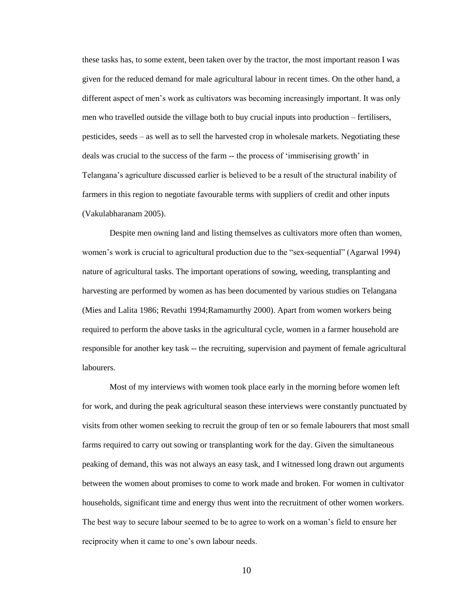these tasks has, to some extent, been taken over by the tractor, the most important reason I was given for the reduced demand for male agricultural labour in recent times. On the other hand, a different aspect of men's work as cultivators was becoming increasingly important. It was only men who travelled outside the village both to buy crucial inputs into production – fertilisers, pesticides, seeds – as well as to sell the harvested crop in wholesale markets. Negotiating these deals was crucial to the success of the farm -- the process of 'immiserising growth' in Telangana's agriculture discussed earlier is believed to be a result of the structural inability of farmers in this region to negotiate favourable terms with suppliers of credit and other inputs (Vakulabharanam 2005).

Despite men owning land and listing themselves as cultivators more often than women, women's work is crucial to agricultural production due to the "sex-sequential" (Agarwal 1994) nature of agricultural tasks. The important operations of sowing, weeding, transplanting and harvesting are performed by women as has been documented by various studies on Telangana (Mies and Lalita 1986; Revathi 1994;Ramamurthy 2000). Apart from women workers being required to perform the above tasks in the agricultural cycle, women in a farmer household are responsible for another key task -- the recruiting, supervision and payment of female agricultural labourers.

Most of my interviews with women took place early in the morning before women left for work, and during the peak agricultural season these interviews were constantly punctuated by visits from other women seeking to recruit the group of ten or so female labourers that most small farms required to carry out sowing or transplanting work for the day. Given the simultaneous peaking of demand, this was not always an easy task, and I witnessed long drawn out arguments between the women about promises to come to work made and broken. For women in cultivator households, significant time and energy thus went into the recruitment of other women workers. The best way to secure labour seemed to be to agree to work on a woman's field to ensure her reciprocity when it came to one's own labour needs.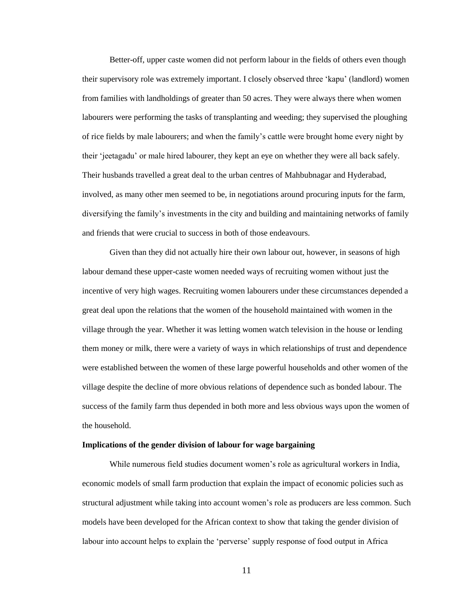Better-off, upper caste women did not perform labour in the fields of others even though their supervisory role was extremely important. I closely observed three 'kapu' (landlord) women from families with landholdings of greater than 50 acres. They were always there when women labourers were performing the tasks of transplanting and weeding; they supervised the ploughing of rice fields by male labourers; and when the family's cattle were brought home every night by their 'jeetagadu' or male hired labourer, they kept an eye on whether they were all back safely. Their husbands travelled a great deal to the urban centres of Mahbubnagar and Hyderabad, involved, as many other men seemed to be, in negotiations around procuring inputs for the farm, diversifying the family's investments in the city and building and maintaining networks of family and friends that were crucial to success in both of those endeavours.

Given than they did not actually hire their own labour out, however, in seasons of high labour demand these upper-caste women needed ways of recruiting women without just the incentive of very high wages. Recruiting women labourers under these circumstances depended a great deal upon the relations that the women of the household maintained with women in the village through the year. Whether it was letting women watch television in the house or lending them money or milk, there were a variety of ways in which relationships of trust and dependence were established between the women of these large powerful households and other women of the village despite the decline of more obvious relations of dependence such as bonded labour. The success of the family farm thus depended in both more and less obvious ways upon the women of the household.

#### **Implications of the gender division of labour for wage bargaining**

While numerous field studies document women's role as agricultural workers in India, economic models of small farm production that explain the impact of economic policies such as structural adjustment while taking into account women's role as producers are less common. Such models have been developed for the African context to show that taking the gender division of labour into account helps to explain the 'perverse' supply response of food output in Africa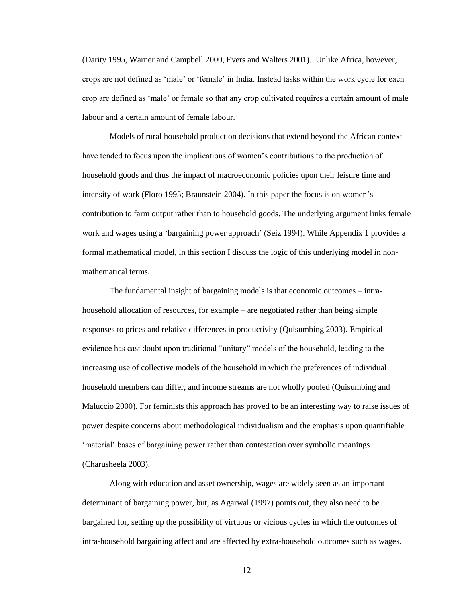(Darity 1995, Warner and Campbell 2000, Evers and Walters 2001). Unlike Africa, however, crops are not defined as 'male' or 'female' in India. Instead tasks within the work cycle for each crop are defined as 'male' or female so that any crop cultivated requires a certain amount of male labour and a certain amount of female labour.

Models of rural household production decisions that extend beyond the African context have tended to focus upon the implications of women's contributions to the production of household goods and thus the impact of macroeconomic policies upon their leisure time and intensity of work (Floro 1995; Braunstein 2004). In this paper the focus is on women's contribution to farm output rather than to household goods. The underlying argument links female work and wages using a 'bargaining power approach' (Seiz 1994). While Appendix 1 provides a formal mathematical model, in this section I discuss the logic of this underlying model in nonmathematical terms.

The fundamental insight of bargaining models is that economic outcomes – intrahousehold allocation of resources, for example – are negotiated rather than being simple responses to prices and relative differences in productivity (Quisumbing 2003). Empirical evidence has cast doubt upon traditional "unitary" models of the household, leading to the increasing use of collective models of the household in which the preferences of individual household members can differ, and income streams are not wholly pooled (Quisumbing and Maluccio 2000). For feminists this approach has proved to be an interesting way to raise issues of power despite concerns about methodological individualism and the emphasis upon quantifiable 'material' bases of bargaining power rather than contestation over symbolic meanings (Charusheela 2003).

Along with education and asset ownership, wages are widely seen as an important determinant of bargaining power, but, as Agarwal (1997) points out, they also need to be bargained for, setting up the possibility of virtuous or vicious cycles in which the outcomes of intra-household bargaining affect and are affected by extra-household outcomes such as wages.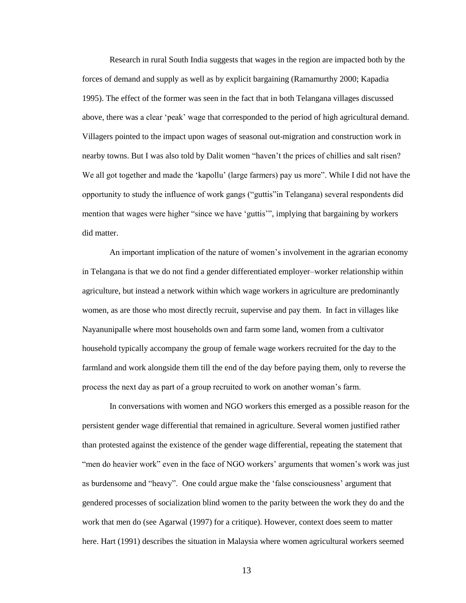Research in rural South India suggests that wages in the region are impacted both by the forces of demand and supply as well as by explicit bargaining (Ramamurthy 2000; Kapadia 1995). The effect of the former was seen in the fact that in both Telangana villages discussed above, there was a clear 'peak' wage that corresponded to the period of high agricultural demand. Villagers pointed to the impact upon wages of seasonal out-migration and construction work in nearby towns. But I was also told by Dalit women "haven't the prices of chillies and salt risen? We all got together and made the 'kapollu' (large farmers) pay us more". While I did not have the opportunity to study the influence of work gangs ("guttis"in Telangana) several respondents did mention that wages were higher "since we have 'guttis'", implying that bargaining by workers did matter.

An important implication of the nature of women's involvement in the agrarian economy in Telangana is that we do not find a gender differentiated employer–worker relationship within agriculture, but instead a network within which wage workers in agriculture are predominantly women, as are those who most directly recruit, supervise and pay them. In fact in villages like Nayanunipalle where most households own and farm some land, women from a cultivator household typically accompany the group of female wage workers recruited for the day to the farmland and work alongside them till the end of the day before paying them, only to reverse the process the next day as part of a group recruited to work on another woman's farm.

In conversations with women and NGO workers this emerged as a possible reason for the persistent gender wage differential that remained in agriculture. Several women justified rather than protested against the existence of the gender wage differential, repeating the statement that "men do heavier work" even in the face of NGO workers' arguments that women's work was just as burdensome and "heavy". One could argue make the 'false consciousness' argument that gendered processes of socialization blind women to the parity between the work they do and the work that men do (see Agarwal (1997) for a critique). However, context does seem to matter here. Hart (1991) describes the situation in Malaysia where women agricultural workers seemed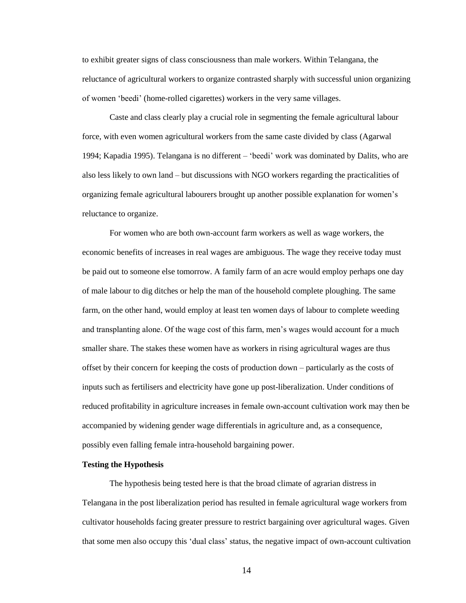to exhibit greater signs of class consciousness than male workers. Within Telangana, the reluctance of agricultural workers to organize contrasted sharply with successful union organizing of women 'beedi' (home-rolled cigarettes) workers in the very same villages.

Caste and class clearly play a crucial role in segmenting the female agricultural labour force, with even women agricultural workers from the same caste divided by class (Agarwal 1994; Kapadia 1995). Telangana is no different – 'beedi' work was dominated by Dalits, who are also less likely to own land – but discussions with NGO workers regarding the practicalities of organizing female agricultural labourers brought up another possible explanation for women's reluctance to organize.

For women who are both own-account farm workers as well as wage workers, the economic benefits of increases in real wages are ambiguous. The wage they receive today must be paid out to someone else tomorrow. A family farm of an acre would employ perhaps one day of male labour to dig ditches or help the man of the household complete ploughing. The same farm, on the other hand, would employ at least ten women days of labour to complete weeding and transplanting alone. Of the wage cost of this farm, men's wages would account for a much smaller share. The stakes these women have as workers in rising agricultural wages are thus offset by their concern for keeping the costs of production down – particularly as the costs of inputs such as fertilisers and electricity have gone up post-liberalization. Under conditions of reduced profitability in agriculture increases in female own-account cultivation work may then be accompanied by widening gender wage differentials in agriculture and, as a consequence, possibly even falling female intra-household bargaining power.

#### **Testing the Hypothesis**

The hypothesis being tested here is that the broad climate of agrarian distress in Telangana in the post liberalization period has resulted in female agricultural wage workers from cultivator households facing greater pressure to restrict bargaining over agricultural wages. Given that some men also occupy this 'dual class' status, the negative impact of own-account cultivation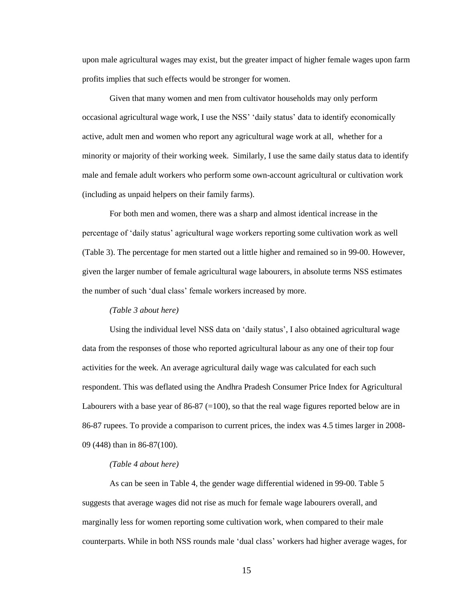upon male agricultural wages may exist, but the greater impact of higher female wages upon farm profits implies that such effects would be stronger for women.

Given that many women and men from cultivator households may only perform occasional agricultural wage work, I use the NSS' 'daily status' data to identify economically active, adult men and women who report any agricultural wage work at all, whether for a minority or majority of their working week. Similarly, I use the same daily status data to identify male and female adult workers who perform some own-account agricultural or cultivation work (including as unpaid helpers on their family farms).

For both men and women, there was a sharp and almost identical increase in the percentage of 'daily status' agricultural wage workers reporting some cultivation work as well (Table 3). The percentage for men started out a little higher and remained so in 99-00. However, given the larger number of female agricultural wage labourers, in absolute terms NSS estimates the number of such 'dual class' female workers increased by more.

## *(Table 3 about here)*

Using the individual level NSS data on 'daily status', I also obtained agricultural wage data from the responses of those who reported agricultural labour as any one of their top four activities for the week. An average agricultural daily wage was calculated for each such respondent. This was deflated using the Andhra Pradesh Consumer Price Index for Agricultural Labourers with a base year of  $86-87$  (=100), so that the real wage figures reported below are in 86-87 rupees. To provide a comparison to current prices, the index was 4.5 times larger in 2008- 09 (448) than in 86-87(100).

#### *(Table 4 about here)*

As can be seen in Table 4, the gender wage differential widened in 99-00. Table 5 suggests that average wages did not rise as much for female wage labourers overall, and marginally less for women reporting some cultivation work, when compared to their male counterparts. While in both NSS rounds male 'dual class' workers had higher average wages, for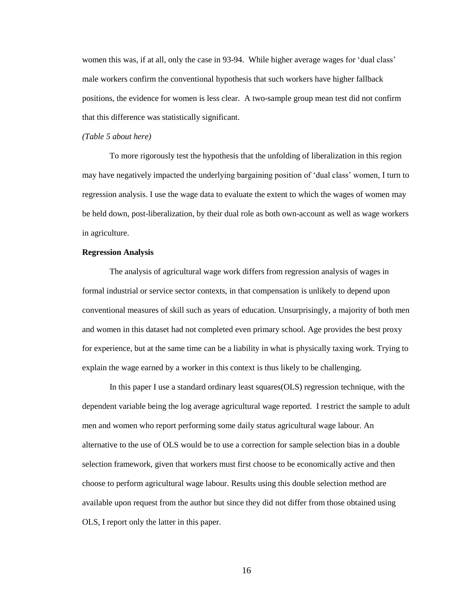women this was, if at all, only the case in 93-94. While higher average wages for 'dual class' male workers confirm the conventional hypothesis that such workers have higher fallback positions, the evidence for women is less clear. A two-sample group mean test did not confirm that this difference was statistically significant.

#### *(Table 5 about here)*

To more rigorously test the hypothesis that the unfolding of liberalization in this region may have negatively impacted the underlying bargaining position of 'dual class' women, I turn to regression analysis. I use the wage data to evaluate the extent to which the wages of women may be held down, post-liberalization, by their dual role as both own-account as well as wage workers in agriculture.

#### **Regression Analysis**

The analysis of agricultural wage work differs from regression analysis of wages in formal industrial or service sector contexts, in that compensation is unlikely to depend upon conventional measures of skill such as years of education. Unsurprisingly, a majority of both men and women in this dataset had not completed even primary school. Age provides the best proxy for experience, but at the same time can be a liability in what is physically taxing work. Trying to explain the wage earned by a worker in this context is thus likely to be challenging.

In this paper I use a standard ordinary least squares(OLS) regression technique, with the dependent variable being the log average agricultural wage reported. I restrict the sample to adult men and women who report performing some daily status agricultural wage labour. An alternative to the use of OLS would be to use a correction for sample selection bias in a double selection framework, given that workers must first choose to be economically active and then choose to perform agricultural wage labour. Results using this double selection method are available upon request from the author but since they did not differ from those obtained using OLS, I report only the latter in this paper.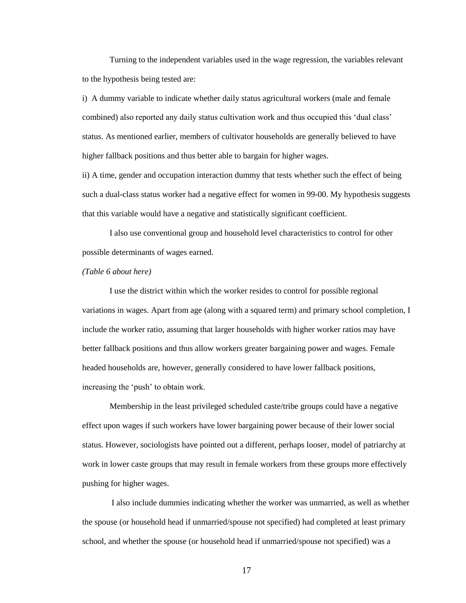Turning to the independent variables used in the wage regression, the variables relevant to the hypothesis being tested are:

i) A dummy variable to indicate whether daily status agricultural workers (male and female combined) also reported any daily status cultivation work and thus occupied this 'dual class' status. As mentioned earlier, members of cultivator households are generally believed to have higher fallback positions and thus better able to bargain for higher wages.

ii) A time, gender and occupation interaction dummy that tests whether such the effect of being such a dual-class status worker had a negative effect for women in 99-00. My hypothesis suggests that this variable would have a negative and statistically significant coefficient.

I also use conventional group and household level characteristics to control for other possible determinants of wages earned.

#### *(Table 6 about here)*

I use the district within which the worker resides to control for possible regional variations in wages. Apart from age (along with a squared term) and primary school completion, I include the worker ratio, assuming that larger households with higher worker ratios may have better fallback positions and thus allow workers greater bargaining power and wages. Female headed households are, however, generally considered to have lower fallback positions, increasing the 'push' to obtain work.

Membership in the least privileged scheduled caste/tribe groups could have a negative effect upon wages if such workers have lower bargaining power because of their lower social status. However, sociologists have pointed out a different, perhaps looser, model of patriarchy at work in lower caste groups that may result in female workers from these groups more effectively pushing for higher wages.

I also include dummies indicating whether the worker was unmarried, as well as whether the spouse (or household head if unmarried/spouse not specified) had completed at least primary school, and whether the spouse (or household head if unmarried/spouse not specified) was a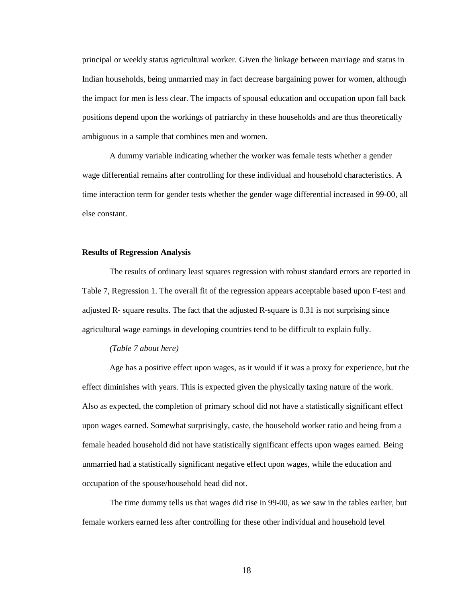principal or weekly status agricultural worker. Given the linkage between marriage and status in Indian households, being unmarried may in fact decrease bargaining power for women, although the impact for men is less clear. The impacts of spousal education and occupation upon fall back positions depend upon the workings of patriarchy in these households and are thus theoretically ambiguous in a sample that combines men and women.

A dummy variable indicating whether the worker was female tests whether a gender wage differential remains after controlling for these individual and household characteristics. A time interaction term for gender tests whether the gender wage differential increased in 99-00, all else constant.

#### **Results of Regression Analysis**

The results of ordinary least squares regression with robust standard errors are reported in Table 7, Regression 1. The overall fit of the regression appears acceptable based upon F-test and adjusted R- square results. The fact that the adjusted R-square is 0.31 is not surprising since agricultural wage earnings in developing countries tend to be difficult to explain fully.

#### *(Table 7 about here)*

Age has a positive effect upon wages, as it would if it was a proxy for experience, but the effect diminishes with years. This is expected given the physically taxing nature of the work. Also as expected, the completion of primary school did not have a statistically significant effect upon wages earned. Somewhat surprisingly, caste, the household worker ratio and being from a female headed household did not have statistically significant effects upon wages earned. Being unmarried had a statistically significant negative effect upon wages, while the education and occupation of the spouse/household head did not.

The time dummy tells us that wages did rise in 99-00, as we saw in the tables earlier, but female workers earned less after controlling for these other individual and household level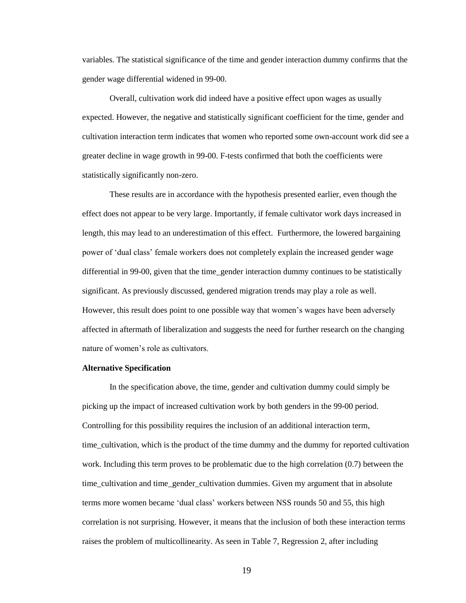variables. The statistical significance of the time and gender interaction dummy confirms that the gender wage differential widened in 99-00.

Overall, cultivation work did indeed have a positive effect upon wages as usually expected. However, the negative and statistically significant coefficient for the time, gender and cultivation interaction term indicates that women who reported some own-account work did see a greater decline in wage growth in 99-00. F-tests confirmed that both the coefficients were statistically significantly non-zero.

These results are in accordance with the hypothesis presented earlier, even though the effect does not appear to be very large. Importantly, if female cultivator work days increased in length, this may lead to an underestimation of this effect. Furthermore, the lowered bargaining power of 'dual class' female workers does not completely explain the increased gender wage differential in 99-00, given that the time\_gender interaction dummy continues to be statistically significant. As previously discussed, gendered migration trends may play a role as well. However, this result does point to one possible way that women's wages have been adversely affected in aftermath of liberalization and suggests the need for further research on the changing nature of women's role as cultivators.

#### **Alternative Specification**

In the specification above, the time, gender and cultivation dummy could simply be picking up the impact of increased cultivation work by both genders in the 99-00 period. Controlling for this possibility requires the inclusion of an additional interaction term, time\_cultivation, which is the product of the time dummy and the dummy for reported cultivation work. Including this term proves to be problematic due to the high correlation (0.7) between the time\_cultivation and time\_gender\_cultivation dummies. Given my argument that in absolute terms more women became 'dual class' workers between NSS rounds 50 and 55, this high correlation is not surprising. However, it means that the inclusion of both these interaction terms raises the problem of multicollinearity. As seen in Table 7, Regression 2, after including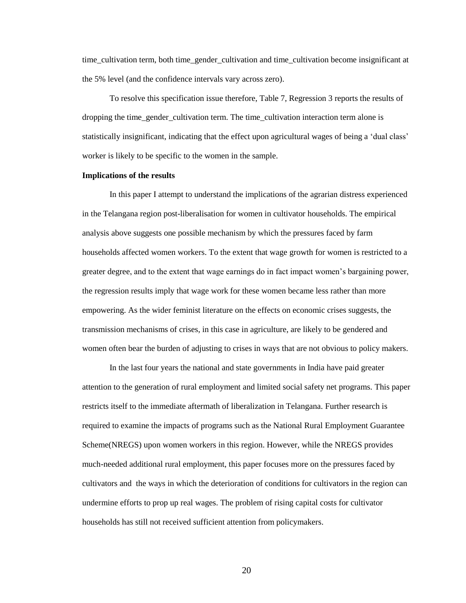time cultivation term, both time gender cultivation and time cultivation become insignificant at the 5% level (and the confidence intervals vary across zero).

To resolve this specification issue therefore, Table 7, Regression 3 reports the results of dropping the time\_gender\_cultivation term. The time\_cultivation interaction term alone is statistically insignificant, indicating that the effect upon agricultural wages of being a 'dual class' worker is likely to be specific to the women in the sample.

## **Implications of the results**

In this paper I attempt to understand the implications of the agrarian distress experienced in the Telangana region post-liberalisation for women in cultivator households. The empirical analysis above suggests one possible mechanism by which the pressures faced by farm households affected women workers. To the extent that wage growth for women is restricted to a greater degree, and to the extent that wage earnings do in fact impact women's bargaining power, the regression results imply that wage work for these women became less rather than more empowering. As the wider feminist literature on the effects on economic crises suggests, the transmission mechanisms of crises, in this case in agriculture, are likely to be gendered and women often bear the burden of adjusting to crises in ways that are not obvious to policy makers.

In the last four years the national and state governments in India have paid greater attention to the generation of rural employment and limited social safety net programs. This paper restricts itself to the immediate aftermath of liberalization in Telangana. Further research is required to examine the impacts of programs such as the National Rural Employment Guarantee Scheme(NREGS) upon women workers in this region. However, while the NREGS provides much-needed additional rural employment, this paper focuses more on the pressures faced by cultivators and the ways in which the deterioration of conditions for cultivators in the region can undermine efforts to prop up real wages. The problem of rising capital costs for cultivator households has still not received sufficient attention from policymakers.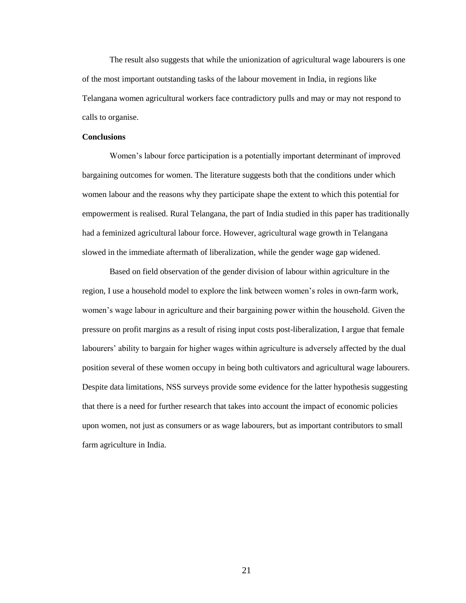The result also suggests that while the unionization of agricultural wage labourers is one of the most important outstanding tasks of the labour movement in India, in regions like Telangana women agricultural workers face contradictory pulls and may or may not respond to calls to organise.

#### **Conclusions**

Women's labour force participation is a potentially important determinant of improved bargaining outcomes for women. The literature suggests both that the conditions under which women labour and the reasons why they participate shape the extent to which this potential for empowerment is realised. Rural Telangana, the part of India studied in this paper has traditionally had a feminized agricultural labour force. However, agricultural wage growth in Telangana slowed in the immediate aftermath of liberalization, while the gender wage gap widened.

Based on field observation of the gender division of labour within agriculture in the region, I use a household model to explore the link between women's roles in own-farm work, women's wage labour in agriculture and their bargaining power within the household. Given the pressure on profit margins as a result of rising input costs post-liberalization, I argue that female labourers' ability to bargain for higher wages within agriculture is adversely affected by the dual position several of these women occupy in being both cultivators and agricultural wage labourers. Despite data limitations, NSS surveys provide some evidence for the latter hypothesis suggesting that there is a need for further research that takes into account the impact of economic policies upon women, not just as consumers or as wage labourers, but as important contributors to small farm agriculture in India.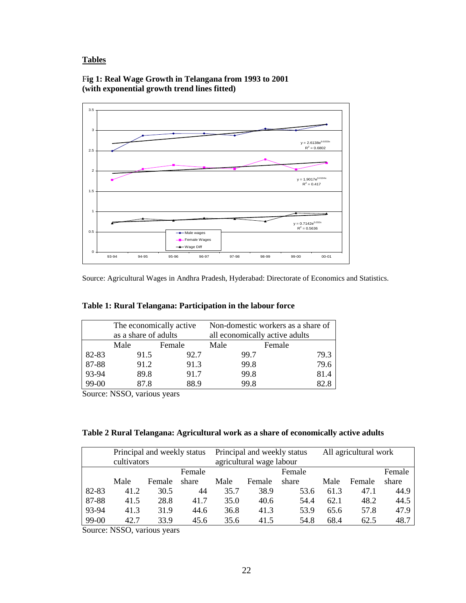# **Tables**



# F**ig 1: Real Wage Growth in Telangana from 1993 to 2001 (with exponential growth trend lines fitted)**

Source: Agricultural Wages in Andhra Pradesh, Hyderabad: Directorate of Economics and Statistics.

|       | The economically active |        | Non-domestic workers as a share of |        |  |  |
|-------|-------------------------|--------|------------------------------------|--------|--|--|
|       | as a share of adults    |        | all economically active adults     |        |  |  |
|       | Male                    | Female | Male                               | Female |  |  |
| 82-83 | 91.5                    | 92.7   | 99.7                               | 79.3   |  |  |
| 87-88 | 91.2                    | 91.3   | 99.8                               | 79.6   |  |  |
| 93-94 | 89.8                    | 91.7   | 99.8                               | 81.4   |  |  |
| 99-00 | 87.8                    | 88.9   | 99.8                               | 82.8   |  |  |

# **Table 1: Rural Telangana: Participation in the labour force**

Source: NSSO, various years

## **Table 2 Rural Telangana: Agricultural work as a share of economically active adults**

|       | Principal and weekly status |                 |      | Principal and weekly status |        |        | All agricultural work |        |       |
|-------|-----------------------------|-----------------|------|-----------------------------|--------|--------|-----------------------|--------|-------|
|       | cultivators                 |                 |      | agricultural wage labour    |        |        |                       |        |       |
|       | Female                      |                 |      |                             |        | Female |                       | Female |       |
|       | Male                        | Female<br>share |      | Male                        | Female | share  | Male                  | Female | share |
| 82-83 | 41.2                        | 30.5            | 44   | 35.7                        | 38.9   | 53.6   | 61.3                  | 47.1   | 44.9  |
| 87-88 | 41.5                        | 28.8            | 41.7 | 35.0                        | 40.6   | 54.4   | 62.1                  | 48.2   | 44.5  |
| 93-94 | 41.3                        | 31.9            | 44.6 | 36.8                        | 41.3   | 53.9   | 65.6                  | 57.8   | 47.9  |
| 99-00 | 42.7                        | 33.9            | 45.6 | 35.6                        | 41.5   | 54.8   | 68.4                  | 62.5   | 48.7  |

Source: NSSO, various years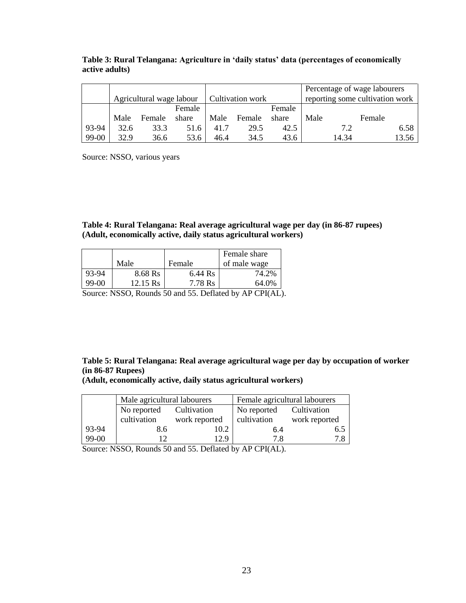|       | Agricultural wage labour<br>Cultivation work |        |        |      |        | Percentage of wage labourers<br>reporting some cultivation work |      |       |        |       |
|-------|----------------------------------------------|--------|--------|------|--------|-----------------------------------------------------------------|------|-------|--------|-------|
|       |                                              |        | Female |      |        | Female                                                          |      |       |        |       |
|       | Male                                         | Female | share  | Male | Female | share                                                           | Male |       | Female |       |
| 93-94 | 32.6                                         | 33.3   | 51.6   | 41.7 | 29.5   | 42.5                                                            |      | 7.2   |        | 6.58  |
| 99-00 | 32.9                                         | 36.6   | 53.6   | 46.4 | 34.5   | 43.6                                                            |      | 14.34 |        | 13.56 |

**Table 3: Rural Telangana: Agriculture in 'daily status' data (percentages of economically active adults)**

Source: NSSO, various years

**Table 4: Rural Telangana: Real average agricultural wage per day (in 86-87 rupees) (Adult, economically active, daily status agricultural workers)**

|       |            |         | Female share |
|-------|------------|---------|--------------|
|       | Male       | Female  | of male wage |
| 93-94 | 8.68 Rs    | 6.44 Rs | 74.2%        |
| 99-00 | $12.15$ Rs | 7.78 Rs | 64.0%        |

Source: NSSO, Rounds 50 and 55. Deflated by AP CPI(AL).

# **Table 5: Rural Telangana: Real average agricultural wage per day by occupation of worker (in 86-87 Rupees)**

|  | (Adult, economically active, daily status agricultural workers) |  |  |  |
|--|-----------------------------------------------------------------|--|--|--|
|  |                                                                 |  |  |  |

|       | Male agricultural labourers |               | Female agricultural labourers |               |
|-------|-----------------------------|---------------|-------------------------------|---------------|
|       | No reported<br>Cultivation  |               | No reported                   | Cultivation   |
|       | cultivation                 | work reported | cultivation                   | work reported |
| 93-94 | 8.6                         | 10.2          | 6.4                           | 6.5           |
| 99-00 |                             | 2.9           | 78                            | 78            |

Source: NSSO, Rounds 50 and 55. Deflated by AP CPI(AL).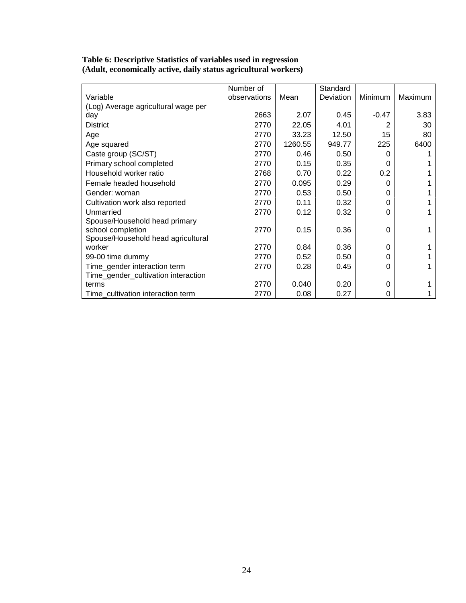|  | Table 6: Descriptive Statistics of variables used in regression |
|--|-----------------------------------------------------------------|
|  | (Adult, economically active, daily status agricultural workers) |

|                                     | Number of    |         | Standard  |          |                |
|-------------------------------------|--------------|---------|-----------|----------|----------------|
| Variable                            | observations | Mean    | Deviation | Minimum  | <b>Maximum</b> |
| (Log) Average agricultural wage per |              |         |           |          |                |
| day                                 | 2663         | 2.07    | 0.45      | $-0.47$  | 3.83           |
| <b>District</b>                     | 2770         | 22.05   | 4.01      |          | 30             |
| Age                                 | 2770         | 33.23   | 12.50     | 15       | 80             |
| Age squared                         | 2770         | 1260.55 | 949.77    | 225      | 6400           |
| Caste group (SC/ST)                 | 2770         | 0.46    | 0.50      | ი        |                |
| Primary school completed            | 2770         | 0.15    | 0.35      | 0        |                |
| Household worker ratio              | 2768         | 0.70    | 0.22      | 0.2      |                |
| Female headed household             | 2770         | 0.095   | 0.29      | O        |                |
| Gender: woman                       | 2770         | 0.53    | 0.50      | 0        |                |
| Cultivation work also reported      | 2770         | 0.11    | 0.32      | 0        |                |
| Unmarried                           | 2770         | 0.12    | 0.32      | 0        |                |
| Spouse/Household head primary       |              |         |           |          |                |
| school completion                   | 2770         | 0.15    | 0.36      | 0        |                |
| Spouse/Household head agricultural  |              |         |           |          |                |
| worker                              | 2770         | 0.84    | 0.36      | 0        |                |
| 99-00 time dummy                    | 2770         | 0.52    | 0.50      | 0        |                |
| Time_gender interaction term        | 2770         | 0.28    | 0.45      | $\Omega$ |                |
| Time_gender_cultivation interaction |              |         |           |          |                |
| terms                               | 2770         | 0.040   | 0.20      | 0        |                |
| Time cultivation interaction term   | 2770         | 0.08    | 0.27      | 0        |                |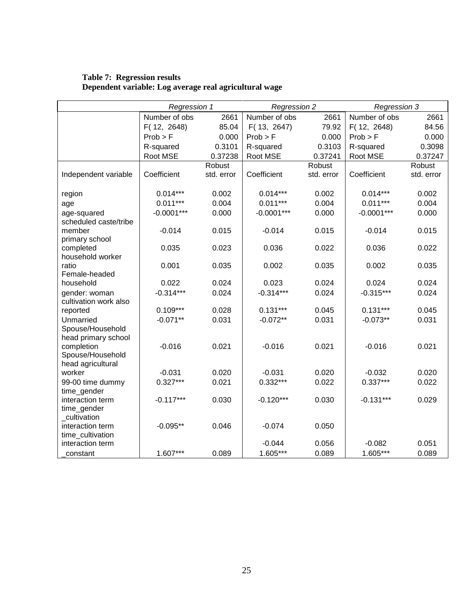# **Table 7: Regression results Dependent variable: Log average real agricultural wage**

|                                        | Regression 1  |            | <b>Regression 2</b> |            | <b>Regression 3</b> |            |
|----------------------------------------|---------------|------------|---------------------|------------|---------------------|------------|
|                                        | Number of obs | 2661       | Number of obs       | 2661       |                     | 2661       |
|                                        | F(12, 2648)   | 85.04      | F(13, 2647)         | 79.92      | F(12, 2648)         | 84.56      |
|                                        | Prob > F      | 0.000      | $Prob$ > $F$        | 0.000      | Prob > F            | 0.000      |
|                                        | R-squared     | 0.3101     | R-squared           | 0.3103     | R-squared           | 0.3098     |
|                                        | Root MSE      | 0.37238    | Root MSE            | 0.37241    | Root MSE            | 0.37247    |
|                                        |               | Robust     |                     | Robust     |                     | Robust     |
| Independent variable                   | Coefficient   | std. error | Coefficient         | std. error | Coefficient         | std. error |
|                                        |               |            |                     |            |                     |            |
| region                                 | $0.014***$    | 0.002      | $0.014***$          | 0.002      | $0.014***$          | 0.002      |
| age                                    | $0.011***$    | 0.004      | $0.011***$          | 0.004      | $0.011***$          | 0.004      |
| age-squared                            | $-0.0001***$  | 0.000      | $-0.0001***$        | 0.000      | $-0.0001***$        | 0.000      |
| scheduled caste/tribe                  |               |            |                     |            |                     |            |
| member                                 | $-0.014$      | 0.015      | $-0.014$            | 0.015      | $-0.014$            | 0.015      |
| primary school                         |               |            |                     |            |                     |            |
| completed                              | 0.035         | 0.023      | 0.036               | 0.022      | 0.036               | 0.022      |
| household worker                       |               |            |                     |            |                     |            |
| ratio                                  | 0.001         | 0.035      | 0.002               | 0.035      | 0.002               | 0.035      |
| Female-headed<br>household             | 0.022         | 0.024      | 0.023               | 0.024      | 0.024               | 0.024      |
|                                        | $-0.314***$   | 0.024      | $-0.314***$         | 0.024      | $-0.315***$         | 0.024      |
| gender: woman<br>cultivation work also |               |            |                     |            |                     |            |
| reported                               | $0.109***$    | 0.028      | $0.131***$          | 0.045      | $0.131***$          | 0.045      |
| Unmarried                              | $-0.071**$    | 0.031      | $-0.072**$          | 0.031      | $-0.073**$          | 0.031      |
| Spouse/Household                       |               |            |                     |            |                     |            |
| head primary school                    |               |            |                     |            |                     |            |
| completion                             | $-0.016$      | 0.021      | $-0.016$            | 0.021      | $-0.016$            | 0.021      |
| Spouse/Household                       |               |            |                     |            |                     |            |
| head agricultural                      |               |            |                     |            |                     |            |
| worker                                 | $-0.031$      | 0.020      | $-0.031$            | 0.020      | $-0.032$            | 0.020      |
| 99-00 time dummy                       | $0.327***$    | 0.021      | $0.332***$          | 0.022      | $0.337***$          | 0.022      |
| time_gender                            |               |            |                     |            |                     |            |
| interaction term                       | $-0.117***$   | 0.030      | $-0.120***$         | 0.030      | $-0.131***$         | 0.029      |
| time_gender                            |               |            |                     |            |                     |            |
| cultivation                            |               |            |                     |            |                     |            |
| interaction term                       | $-0.095**$    | 0.046      | $-0.074$            | 0.050      |                     |            |
| time_cultivation                       |               |            |                     |            |                     |            |
| interaction term                       |               |            | $-0.044$            | 0.056      | $-0.082$            | 0.051      |
| constant                               | $1.607***$    | 0.089      | 1.605***            | 0.089      | 1.605***            | 0.089      |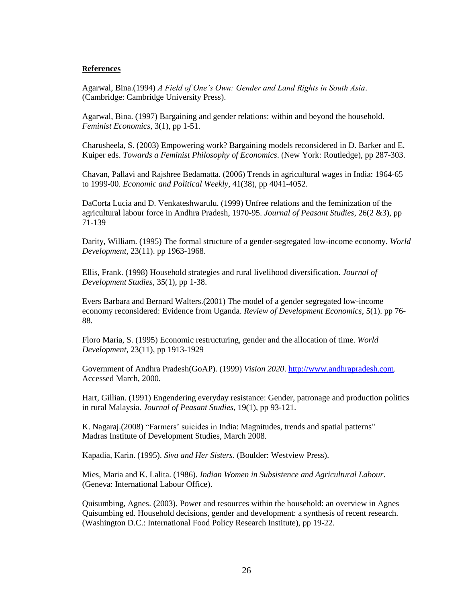## **References**

Agarwal, Bina.(1994) *A Field of One's Own: Gender and Land Rights in South Asia*. (Cambridge: Cambridge University Press).

Agarwal, Bina. (1997) Bargaining and gender relations: within and beyond the household. *Feminist Economics*, 3(1), pp 1-51.

Charusheela, S. (2003) Empowering work? Bargaining models reconsidered in D. Barker and E. Kuiper eds. *Towards a Feminist Philosophy of Economics*. (New York: Routledge), pp 287-303.

Chavan, Pallavi and Rajshree Bedamatta. (2006) Trends in agricultural wages in India: 1964-65 to 1999-00. *Economic and Political Weekly*, 41(38), pp 4041-4052.

DaCorta Lucia and D. Venkateshwarulu. (1999) Unfree relations and the feminization of the agricultural labour force in Andhra Pradesh, 1970-95. *Journal of Peasant Studies*, 26(2 &3), pp 71-139

Darity, William. (1995) The formal structure of a gender-segregated low-income economy. *World Development,* 23(11). pp 1963-1968.

Ellis, Frank. (1998) Household strategies and rural livelihood diversification. *Journal of Development Studies*, 35(1), pp 1-38.

Evers Barbara and Bernard Walters.(2001) The model of a gender segregated low-income economy reconsidered: Evidence from Uganda. *Review of Development Economics*, 5(1). pp 76- 88.

Floro Maria, S. (1995) Economic restructuring, gender and the allocation of time. *World Development*, 23(11), pp 1913-1929

Government of Andhra Pradesh(GoAP). (1999) *Vision 2020*. [http://www.andhrapradesh.com.](http://www.andhrapradesh.com/) Accessed March, 2000.

Hart, Gillian. (1991) Engendering everyday resistance: Gender, patronage and production politics in rural Malaysia. *Journal of Peasant Studies*, 19(1), pp 93-121.

K. Nagaraj.(2008) "Farmers' suicides in India: Magnitudes, trends and spatial patterns" Madras Institute of Development Studies, March 2008.

Kapadia, Karin. (1995). *Siva and Her Sisters*. (Boulder: Westview Press).

Mies, Maria and K. Lalita. (1986). *Indian Women in Subsistence and Agricultural Labour*. (Geneva: International Labour Office).

Quisumbing, Agnes. (2003). Power and resources within the household: an overview in Agnes Quisumbing ed. Household decisions, gender and development: a synthesis of recent research. (Washington D.C.: International Food Policy Research Institute), pp 19-22.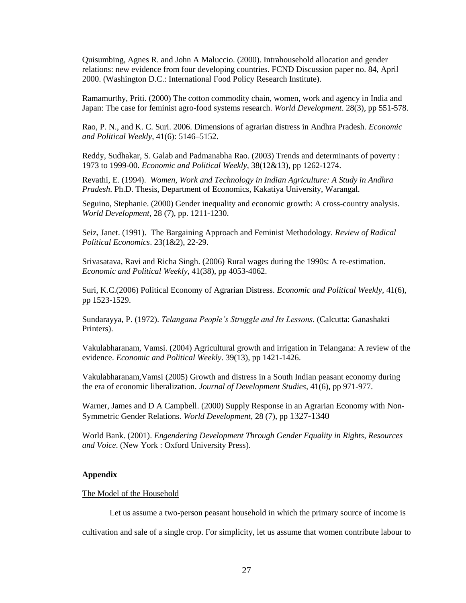Quisumbing, Agnes R. and John A Maluccio. (2000). Intrahousehold allocation and gender relations: new evidence from four developing countries. FCND Discussion paper no. 84, April 2000. (Washington D.C.: International Food Policy Research Institute).

Ramamurthy, Priti. (2000) The cotton commodity chain, women, work and agency in India and Japan: The case for feminist agro-food systems research. *World Development*. 28(3), pp 551-578.

Rao, P. N., and K. C. Suri. 2006. Dimensions of agrarian distress in Andhra Pradesh. *Economic and Political Weekly,* 41(6): 5146–5152.

Reddy, Sudhakar, S. Galab and Padmanabha Rao. (2003) Trends and determinants of poverty : 1973 to 1999-00. *Economic and Political Weekly*, 38(12&13), pp 1262-1274.

Revathi, E. (1994). *Women, Work and Technology in Indian Agriculture: A Study in Andhra Pradesh*. Ph.D. Thesis, Department of Economics, Kakatiya University, Warangal.

Seguino, Stephanie. (2000) Gender inequality and economic growth: A cross-country analysis. *World Development*, 28 (7), pp. 1211-1230.

Seiz, Janet. (1991). The Bargaining Approach and Feminist Methodology*. Review of Radical Political Economics*. 23(1&2), 22-29.

Srivasatava, Ravi and Richa Singh. (2006) Rural wages during the 1990s: A re-estimation. *Economic and Political Weekly*, 41(38), pp 4053-4062.

Suri, K.C.(2006) Political Economy of Agrarian Distress. *Economic and Political Weekly,* 41(6), pp 1523-1529.

Sundarayya, P. (1972). *Telangana People's Struggle and Its Lessons*. (Calcutta: Ganashakti Printers).

Vakulabharanam, Vamsi. (2004) Agricultural growth and irrigation in Telangana: A review of the evidence. *Economic and Political Weekly*. 39(13), pp 1421-1426.

Vakulabharanam,Vamsi (2005) Growth and distress in a South Indian peasant economy during the era of economic liberalization. *Journal of Development Studies*, 41(6), pp 971-977.

Warner, James and D A Campbell. (2000) Supply Response in an Agrarian Economy with Non-Symmetric Gender Relations. *World Development*, 28 (7), pp 1327-1340

World Bank. (2001). *Engendering Development Through Gender Equality in Rights, Resources and Voice*. (New York : Oxford University Press).

#### **Appendix**

#### The Model of the Household

Let us assume a two-person peasant household in which the primary source of income is

cultivation and sale of a single crop. For simplicity, let us assume that women contribute labour to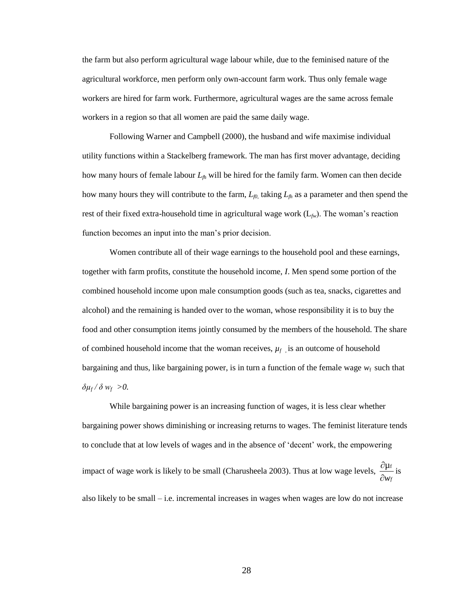the farm but also perform agricultural wage labour while, due to the feminised nature of the agricultural workforce, men perform only own-account farm work. Thus only female wage workers are hired for farm work. Furthermore, agricultural wages are the same across female workers in a region so that all women are paid the same daily wage.

Following Warner and Campbell (2000), the husband and wife maximise individual utility functions within a Stackelberg framework. The man has first mover advantage, deciding how many hours of female labour *Lfh* will be hired for the family farm. Women can then decide how many hours they will contribute to the farm, *Lf0*, taking *Lfh* as a parameter and then spend the rest of their fixed extra-household time in agricultural wage work  $(L_{fw})$ . The woman's reaction function becomes an input into the man's prior decision.

Women contribute all of their wage earnings to the household pool and these earnings, together with farm profits, constitute the household income, *I*. Men spend some portion of the combined household income upon male consumption goods (such as tea, snacks, cigarettes and alcohol) and the remaining is handed over to the woman, whose responsibility it is to buy the food and other consumption items jointly consumed by the members of the household. The share of combined household income that the woman receives,  $\mu_f$ , is an outcome of household bargaining and thus, like bargaining power, is in turn a function of the female wage  $w_f$  such that *δµ<sup>f</sup> / δ wf >0.*

While bargaining power is an increasing function of wages, it is less clear whether bargaining power shows diminishing or increasing returns to wages. The feminist literature tends to conclude that at low levels of wages and in the absence of 'decent' work, the empowering impact of wage work is likely to be small (Charusheela 2003). Thus at low wage levels,  $\partial w_f$  $\frac{\partial \mu_f}{\partial s}$  is also likely to be small – i.e. incremental increases in wages when wages are low do not increase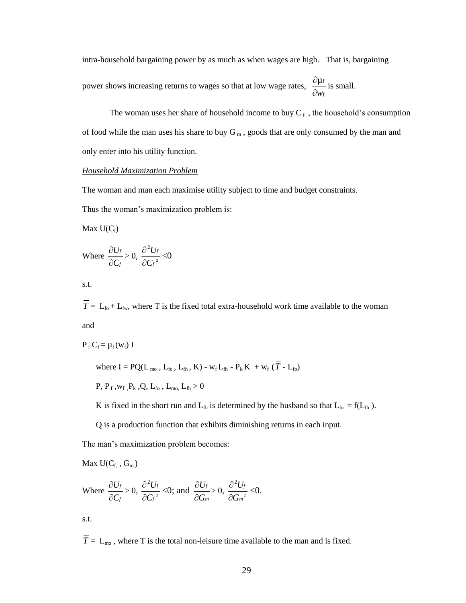intra-household bargaining power by as much as when wages are high. That is, bargaining

power shows increasing returns to wages so that at low wage rates,  $\partial w_f$  $\frac{\partial \mu_f}{\partial n}$  is small.

The woman uses her share of household income to buy  $C_f$ , the household's consumption of food while the man uses his share to buy  $G_m$ , goods that are only consumed by the man and only enter into his utility function.

#### *Household Maximization Problem*

The woman and man each maximise utility subject to time and budget constraints.

Thus the woman's maximization problem is:

Max  $U(C_f)$ 

Where 
$$
\frac{\partial U_f}{\partial C_f} > 0
$$
,  $\frac{\partial^2 U_f}{\partial C_f^2} < 0$ 

s.t.

 $T = L_{\text{fo}} + L_{\text{fw}}$ , where T is the fixed total extra-household work time available to the woman and

$$
P_f C_f = \mu_f(w_f) I
$$

where  $I = PQ(L_{\text{mo}}$ ,  $L_{\text{fo}}$ ,  $L_{\text{fh}}$ ,  $K)$  -  $w_f L_{\text{fh}}$  -  $P_k K + w_f (T - L_{\text{fo}})$ 

 $P, P_f, w_f, P_k, Q, L_{fo}, L_{mo}, L_{fh} > 0$ 

K is fixed in the short run and  $L_{\text{fh}}$  is determined by the husband so that  $L_{\text{fo}} = f(L_{\text{fh}})$ .

Q is a production function that exhibits diminishing returns in each input.

The man's maximization problem becomes:

Max  $U(C_f, G_m)$ 

Where 
$$
\frac{\partial U_f}{\partial C_f} > 0
$$
,  $\frac{\partial^2 U_f}{\partial C_f^2} < 0$ ; and  $\frac{\partial U_f}{\partial G_m} > 0$ ,  $\frac{\partial^2 U_f}{\partial G_m^2} < 0$ .

s.t.

 $T = L_{\text{mo}}$ , where T is the total non-leisure time available to the man and is fixed.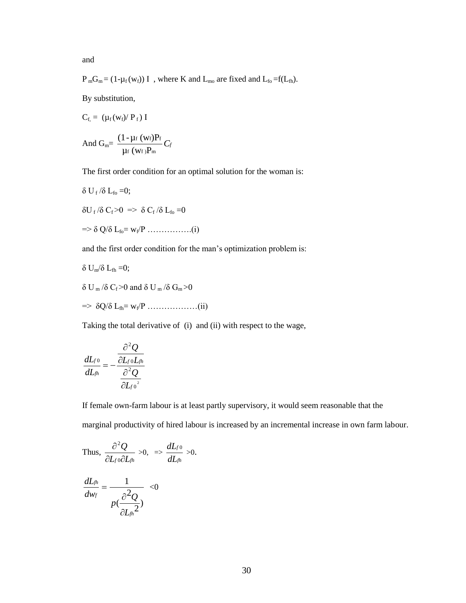$P_mG_m = (1-\mu_f(w_f)) I$ , where K and  $L_{mo}$  are fixed and  $L_{fo} = f(L_{fh})$ .

By substitution,

and

$$
C_{f_i} = (\mu_f(w_f)/P_f) I
$$

And G<sub>m</sub>= 
$$
\frac{(1-\mu_f(w_f)P_f}{\mu_f(w_f)P_m}C_f
$$

The first order condition for an optimal solution for the woman is:

$$
\delta U_f / \delta L_{fo} = 0;
$$
  
\n
$$
\delta U_f / \delta C_f > 0 \implies \delta C_f / \delta L_{fo} = 0
$$
  
\n
$$
\implies \delta Q / \delta L_{fo} = w_f / P \dots (i)
$$

and the first order condition for the man's optimization problem is:

$$
\delta U_m / \delta L_{fh} = 0;
$$
  
\n
$$
\delta U_m / \delta C_f > 0 \text{ and } \delta U_m / \delta G_m > 0
$$
  
\n
$$
\Rightarrow \delta Q / \delta L_{fh} = w_f / P \dots \dots \dots \dots \dots \dots (ii)
$$

Taking the total derivative of (i) and (ii) with respect to the wage,

$$
\frac{dL_{f0}}{dL_{fh}} = -\frac{\frac{\partial^2 Q}{\partial L_{f0}L_{fh}}}{\frac{\partial^2 Q}{\partial L_{f0}^2}}
$$

If female own-farm labour is at least partly supervisory, it would seem reasonable that the marginal productivity of hired labour is increased by an incremental increase in own farm labour.

Thus, 
$$
\frac{\partial^2 Q}{\partial L_f \circ \partial L_{fh}}
$$
 >0,  $\Rightarrow \frac{dL_f \circ}{dL_{fh}}$  >0.

$$
\frac{dL_{\mathit{fh}}}{d w_f} = \frac{1}{p(\frac{\partial^2 Q}{\partial L_{\mathit{fh}}^2})} < 0
$$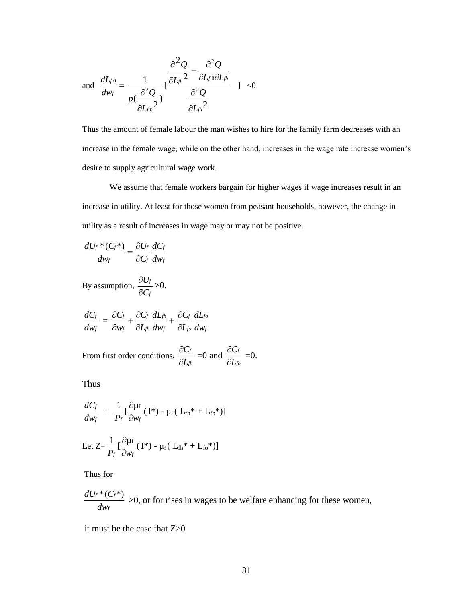and 
$$
\frac{dL_{f0}}{dw_{f}} = \frac{1}{p(\frac{\partial^2 Q}{\partial L_{f0}^2})} \left[\frac{\frac{\partial^2 Q}{\partial L_{fh}^2} - \frac{\partial^2 Q}{\partial L_{f0} \partial L_{fh}}}{\frac{\partial^2 Q}{\partial L_{fh}^2}}\right] < 0
$$

Thus the amount of female labour the man wishes to hire for the family farm decreases with an increase in the female wage, while on the other hand, increases in the wage rate increase women's desire to supply agricultural wage work.

We assume that female workers bargain for higher wages if wage increases result in an increase in utility. At least for those women from peasant households, however, the change in utility as a result of increases in wage may or may not be positive.

$$
\frac{dU_f \cdot (C_f \cdot \epsilon)}{dW_f} = \frac{\partial U_f}{\partial C_f} \frac{dC_f}{dW_f}
$$

By assumption, *f f C U*  $\partial$  $\frac{\partial U_f}{\partial x}$  >0.

$$
\frac{dC_f}{dw_f} = \frac{\partial C_f}{\partial w_f} + \frac{\partial C_f}{\partial L_{fh}} \frac{dL_{fh}}{dw_f} + \frac{\partial C_f}{\partial L_{fo}} \frac{dL_{fo}}{dw_f}
$$

From first order conditions, *fh f L C*  $\partial$  $\frac{\partial C_f}{\partial z}$  =0 and *fo f L C*  $\partial$  $\frac{\partial C_f}{\partial z}$  =0.

Thus

$$
\frac{dC_f}{dw_f} = \frac{1}{P_f} \left[ \frac{\partial \mu_f}{\partial w_f} (I^*) - \mu_f (L_{fh}^* + L_{fo}^*) \right]
$$

Let 
$$
Z = \frac{1}{P_f} \left[ \frac{\partial \mu_f}{\partial w_f} (I^*) - \mu_f (L_{fh}^* + L_{fo}^*) \right]
$$

Thus for

$$
\frac{dU_f*(C_f*)}{dw_f} > 0
$$
, or for rises in wages to be welfare enhancing for these women,

it must be the case that Z>0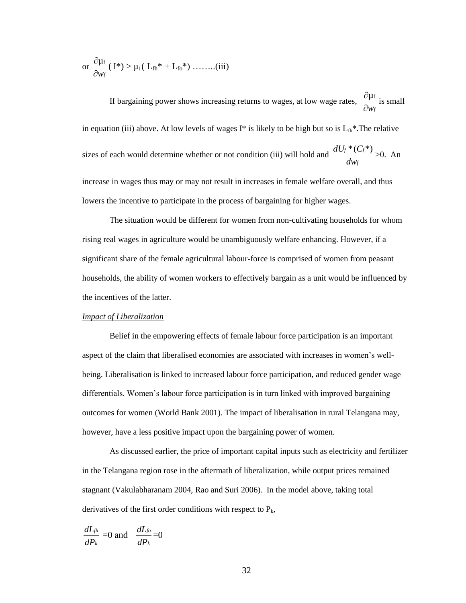$$
\text{or } \frac{\partial \mu_{\text{f}}}{\partial w_{\text{f}}}\left(I^*\right)>\mu_{\text{f}}\big(\;L_{\text{fh}}*+L_{\text{fo}}*\big)\;.\ldots\ldots\ldots\text{(iii)}
$$

If bargaining power shows increasing returns to wages, at low wage rates,  $\partial w_f$  $\frac{\partial \mu_f}{\partial n}$  is small in equation (iii) above. At low levels of wages  $I^*$  is likely to be high but so is  $L_{fh}^*$ . The relative sizes of each would determine whether or not condition (iii) will hold and *f f f dw*  $\frac{dU_f*(C_f^*)}{dt} > 0$ . An increase in wages thus may or may not result in increases in female welfare overall, and thus lowers the incentive to participate in the process of bargaining for higher wages.

The situation would be different for women from non-cultivating households for whom rising real wages in agriculture would be unambiguously welfare enhancing. However, if a significant share of the female agricultural labour-force is comprised of women from peasant households, the ability of women workers to effectively bargain as a unit would be influenced by the incentives of the latter.

#### *Impact of Liberalization*

Belief in the empowering effects of female labour force participation is an important aspect of the claim that liberalised economies are associated with increases in women's wellbeing. Liberalisation is linked to increased labour force participation, and reduced gender wage differentials. Women's labour force participation is in turn linked with improved bargaining outcomes for women (World Bank 2001). The impact of liberalisation in rural Telangana may, however, have a less positive impact upon the bargaining power of women.

As discussed earlier, the price of important capital inputs such as electricity and fertilizer in the Telangana region rose in the aftermath of liberalization, while output prices remained stagnant (Vakulabharanam 2004, Rao and Suri 2006). In the model above, taking total derivatives of the first order conditions with respect to  $P_k$ ,

$$
\frac{dL_{\text{fh}}}{dP_k} = 0 \text{ and } \frac{dL_{\text{fo}}}{dP_k} = 0
$$